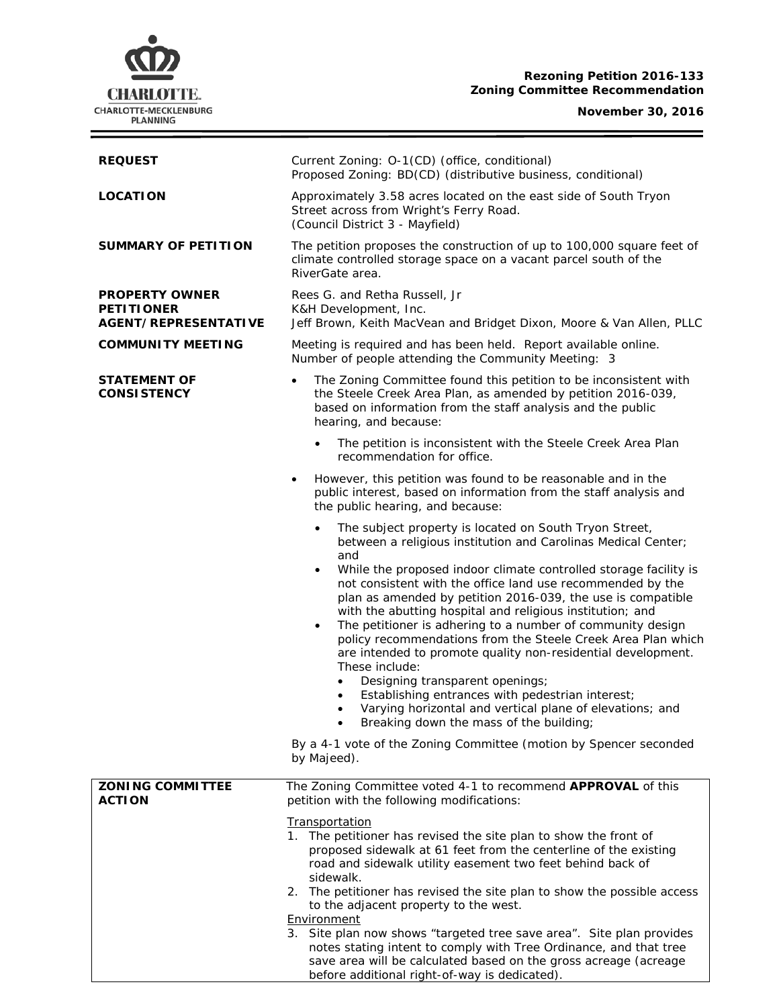# **Rezoning Petition 2016-133 Zoning Committee Recommendation**



## **November 30, 2016**

÷

| <b>REQUEST</b>                                                            | Current Zoning: O-1(CD) (office, conditional)<br>Proposed Zoning: BD(CD) (distributive business, conditional)                                                                                                                                                                                                                                                                                                                                                                                                                                                                                                                                                                                                                                                                                                                                                       |
|---------------------------------------------------------------------------|---------------------------------------------------------------------------------------------------------------------------------------------------------------------------------------------------------------------------------------------------------------------------------------------------------------------------------------------------------------------------------------------------------------------------------------------------------------------------------------------------------------------------------------------------------------------------------------------------------------------------------------------------------------------------------------------------------------------------------------------------------------------------------------------------------------------------------------------------------------------|
| <b>LOCATION</b>                                                           | Approximately 3.58 acres located on the east side of South Tryon<br>Street across from Wright's Ferry Road.<br>(Council District 3 - Mayfield)                                                                                                                                                                                                                                                                                                                                                                                                                                                                                                                                                                                                                                                                                                                      |
| <b>SUMMARY OF PETITION</b>                                                | The petition proposes the construction of up to 100,000 square feet of<br>climate controlled storage space on a vacant parcel south of the<br>RiverGate area.                                                                                                                                                                                                                                                                                                                                                                                                                                                                                                                                                                                                                                                                                                       |
| <b>PROPERTY OWNER</b><br><b>PETITIONER</b><br><b>AGENT/REPRESENTATIVE</b> | Rees G. and Retha Russell, Jr<br>K&H Development, Inc.<br>Jeff Brown, Keith MacVean and Bridget Dixon, Moore & Van Allen, PLLC                                                                                                                                                                                                                                                                                                                                                                                                                                                                                                                                                                                                                                                                                                                                      |
| <b>COMMUNITY MEETING</b>                                                  | Meeting is required and has been held. Report available online.<br>Number of people attending the Community Meeting: 3                                                                                                                                                                                                                                                                                                                                                                                                                                                                                                                                                                                                                                                                                                                                              |
| <b>STATEMENT OF</b><br><b>CONSISTENCY</b>                                 | The Zoning Committee found this petition to be inconsistent with<br>$\bullet$<br>the Steele Creek Area Plan, as amended by petition 2016-039,<br>based on information from the staff analysis and the public<br>hearing, and because:                                                                                                                                                                                                                                                                                                                                                                                                                                                                                                                                                                                                                               |
|                                                                           | The petition is inconsistent with the Steele Creek Area Plan<br>recommendation for office.                                                                                                                                                                                                                                                                                                                                                                                                                                                                                                                                                                                                                                                                                                                                                                          |
|                                                                           | However, this petition was found to be reasonable and in the<br>$\bullet$<br>public interest, based on information from the staff analysis and<br>the public hearing, and because:                                                                                                                                                                                                                                                                                                                                                                                                                                                                                                                                                                                                                                                                                  |
|                                                                           | The subject property is located on South Tryon Street,<br>$\bullet$<br>between a religious institution and Carolinas Medical Center;<br>and<br>While the proposed indoor climate controlled storage facility is<br>$\bullet$<br>not consistent with the office land use recommended by the<br>plan as amended by petition 2016-039, the use is compatible<br>with the abutting hospital and religious institution; and<br>The petitioner is adhering to a number of community design<br>$\bullet$<br>policy recommendations from the Steele Creek Area Plan which<br>are intended to promote quality non-residential development.<br>These include:<br>Designing transparent openings;<br>$\bullet$<br>Establishing entrances with pedestrian interest;<br>٠<br>Varying horizontal and vertical plane of elevations; and<br>Breaking down the mass of the building; |
|                                                                           | By a 4-1 vote of the Zoning Committee (motion by Spencer seconded<br>by Majeed).                                                                                                                                                                                                                                                                                                                                                                                                                                                                                                                                                                                                                                                                                                                                                                                    |
| <b>ZONING COMMITTEE</b><br><b>ACTION</b>                                  | The Zoning Committee voted 4-1 to recommend APPROVAL of this<br>petition with the following modifications:                                                                                                                                                                                                                                                                                                                                                                                                                                                                                                                                                                                                                                                                                                                                                          |
|                                                                           | <b>Transportation</b><br>1. The petitioner has revised the site plan to show the front of<br>proposed sidewalk at 61 feet from the centerline of the existing<br>road and sidewalk utility easement two feet behind back of<br>sidewalk.                                                                                                                                                                                                                                                                                                                                                                                                                                                                                                                                                                                                                            |
|                                                                           | 2. The petitioner has revised the site plan to show the possible access<br>to the adjacent property to the west.<br>Environment<br>3. Site plan now shows "targeted tree save area". Site plan provides<br>notes stating intent to comply with Tree Ordinance, and that tree<br>save area will be calculated based on the gross acreage (acreage<br>before additional right-of-way is dedicated).                                                                                                                                                                                                                                                                                                                                                                                                                                                                   |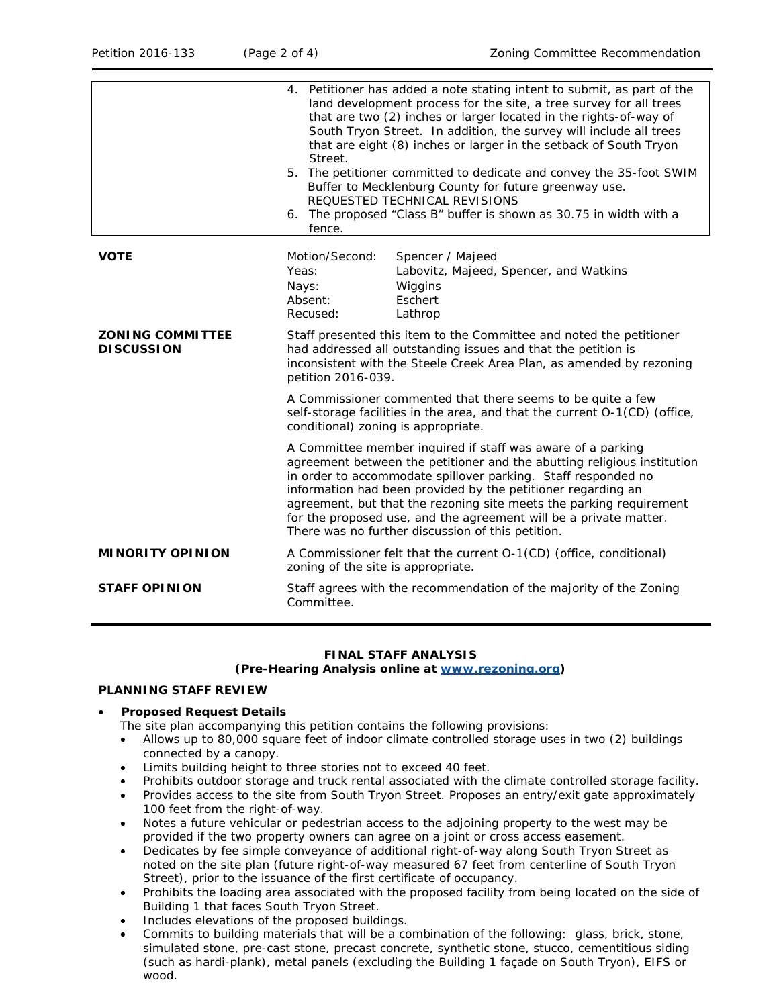|                                              | 4. Petitioner has added a note stating intent to submit, as part of the<br>land development process for the site, a tree survey for all trees<br>that are two (2) inches or larger located in the rights-of-way of<br>South Tryon Street. In addition, the survey will include all trees<br>that are eight (8) inches or larger in the setback of South Tryon<br>Street.<br>5. The petitioner committed to dedicate and convey the 35-foot SWIM<br>Buffer to Mecklenburg County for future greenway use.<br>REQUESTED TECHNICAL REVISIONS<br>6. The proposed "Class B" buffer is shown as 30.75 in width with a<br>fence. |
|----------------------------------------------|---------------------------------------------------------------------------------------------------------------------------------------------------------------------------------------------------------------------------------------------------------------------------------------------------------------------------------------------------------------------------------------------------------------------------------------------------------------------------------------------------------------------------------------------------------------------------------------------------------------------------|
| <b>VOTE</b>                                  | Motion/Second:<br>Spencer / Majeed<br>Yeas:<br>Labovitz, Majeed, Spencer, and Watkins<br>Wiggins<br>Nays:<br>Absent:<br>Eschert<br>Recused:<br>Lathrop                                                                                                                                                                                                                                                                                                                                                                                                                                                                    |
| <b>ZONING COMMITTEE</b><br><b>DISCUSSION</b> | Staff presented this item to the Committee and noted the petitioner<br>had addressed all outstanding issues and that the petition is<br>inconsistent with the Steele Creek Area Plan, as amended by rezoning<br>petition 2016-039.                                                                                                                                                                                                                                                                                                                                                                                        |
|                                              | A Commissioner commented that there seems to be quite a few<br>self-storage facilities in the area, and that the current O-1(CD) (office,<br>conditional) zoning is appropriate.                                                                                                                                                                                                                                                                                                                                                                                                                                          |
|                                              | A Committee member inquired if staff was aware of a parking<br>agreement between the petitioner and the abutting religious institution<br>in order to accommodate spillover parking. Staff responded no<br>information had been provided by the petitioner regarding an<br>agreement, but that the rezoning site meets the parking requirement<br>for the proposed use, and the agreement will be a private matter.<br>There was no further discussion of this petition.                                                                                                                                                  |
| <b>MINORITY OPINION</b>                      | A Commissioner felt that the current O-1(CD) (office, conditional)<br>zoning of the site is appropriate.                                                                                                                                                                                                                                                                                                                                                                                                                                                                                                                  |
| <b>STAFF OPINION</b>                         | Staff agrees with the recommendation of the majority of the Zoning<br>Committee.                                                                                                                                                                                                                                                                                                                                                                                                                                                                                                                                          |

## **FINAL STAFF ANALYSIS**

#### **(Pre-Hearing Analysis online at [www.rezoning.org\)](http://www.rezoning.org/)**

### **PLANNING STAFF REVIEW**

### • **Proposed Request Details**

- The site plan accompanying this petition contains the following provisions:
- Allows up to 80,000 square feet of indoor climate controlled storage uses in two (2) buildings connected by a canopy.
- Limits building height to three stories not to exceed 40 feet.
- Prohibits outdoor storage and truck rental associated with the climate controlled storage facility.
- Provides access to the site from South Tryon Street. Proposes an entry/exit gate approximately 100 feet from the right-of-way.
- Notes a future vehicular or pedestrian access to the adjoining property to the west may be provided if the two property owners can agree on a joint or cross access easement.
- Dedicates by fee simple conveyance of additional right-of-way along South Tryon Street as noted on the site plan (future right-of-way measured 67 feet from centerline of South Tryon Street), prior to the issuance of the first certificate of occupancy.
- Prohibits the loading area associated with the proposed facility from being located on the side of Building 1 that faces South Tryon Street.
- Includes elevations of the proposed buildings.
- Commits to building materials that will be a combination of the following: glass, brick, stone, simulated stone, pre-cast stone, precast concrete, synthetic stone, stucco, cementitious siding (such as hardi-plank), metal panels (excluding the Building 1 façade on South Tryon), EIFS or wood.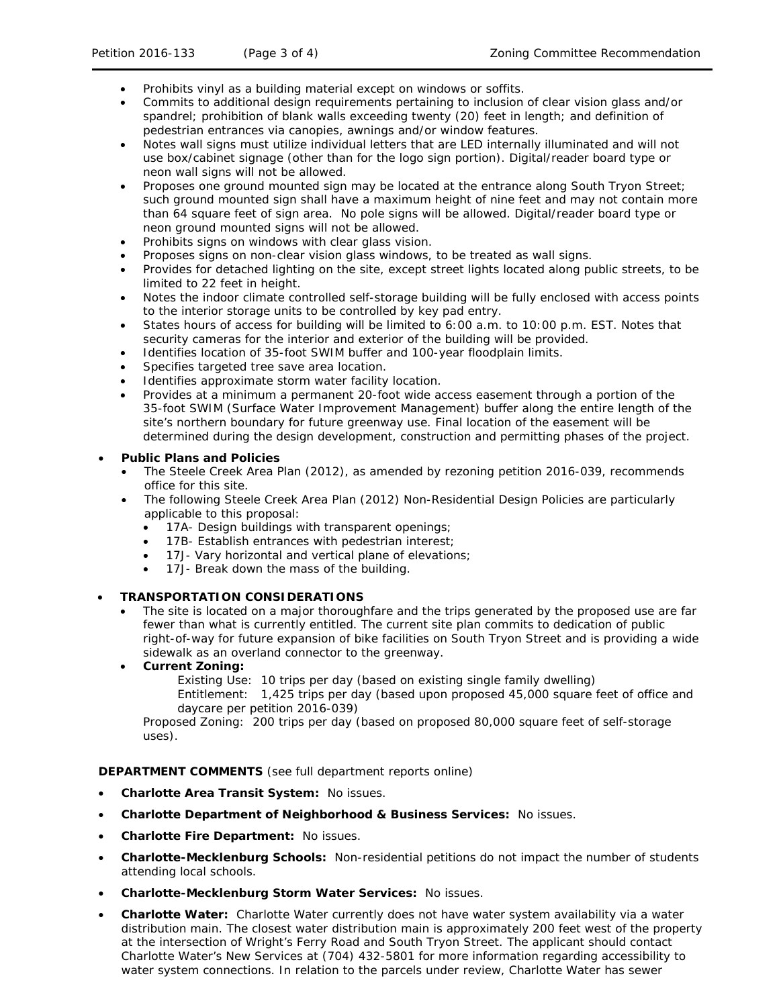- Prohibits vinyl as a building material except on windows or soffits.
- Commits to additional design requirements pertaining to inclusion of clear vision glass and/or spandrel; prohibition of blank walls exceeding twenty (20) feet in length; and definition of pedestrian entrances via canopies, awnings and/or window features.
- Notes wall signs must utilize individual letters that are LED internally illuminated and will not use box/cabinet signage (other than for the logo sign portion). Digital/reader board type or neon wall signs will not be allowed.
- Proposes one ground mounted sign may be located at the entrance along South Tryon Street; such ground mounted sign shall have a maximum height of nine feet and may not contain more than 64 square feet of sign area. No pole signs will be allowed. Digital/reader board type or neon ground mounted signs will not be allowed.
- Prohibits signs on windows with clear glass vision.
- Proposes signs on non-clear vision glass windows, to be treated as wall signs.
- Provides for detached lighting on the site, except street lights located along public streets, to be limited to 22 feet in height.
- Notes the indoor climate controlled self-storage building will be fully enclosed with access points to the interior storage units to be controlled by key pad entry.
- States hours of access for building will be limited to 6:00 a.m. to 10:00 p.m. EST. Notes that security cameras for the interior and exterior of the building will be provided.
- Identifies location of 35-foot SWIM buffer and 100-year floodplain limits.
- Specifies targeted tree save area location.
- Identifies approximate storm water facility location.
- Provides at a minimum a permanent 20-foot wide access easement through a portion of the 35-foot SWIM (Surface Water Improvement Management) buffer along the entire length of the site's northern boundary for future greenway use. Final location of the easement will be determined during the design development, construction and permitting phases of the project.

### • **Public Plans and Policies**

- The *Steele Creek Area Plan* (2012), as amended by rezoning petition 2016-039, recommends office for this site.
- The following *Steele Creek Area Plan* (2012) Non-Residential Design Policies are particularly applicable to this proposal:
	- 17A- Design buildings with transparent openings;
	- 17B- Establish entrances with pedestrian interest;
	- 17J- Vary horizontal and vertical plane of elevations;
	- 17J- Break down the mass of the building.

### • **TRANSPORTATION CONSIDERATIONS**

The site is located on a major thoroughfare and the trips generated by the proposed use are far fewer than what is currently entitled. The current site plan commits to dedication of public right-of-way for future expansion of bike facilities on South Tryon Street and is providing a wide sidewalk as an overland connector to the greenway.

# • **Current Zoning:**

Existing Use: 10 trips per day (based on existing single family dwelling)

Entitlement: 1,425 trips per day (based upon proposed 45,000 square feet of office and daycare per petition 2016-039)

Proposed Zoning: 200 trips per day (based on proposed 80,000 square feet of self-storage uses).

**DEPARTMENT COMMENTS** (see full department reports online)

- **Charlotte Area Transit System:** No issues.
- **Charlotte Department of Neighborhood & Business Services:** No issues.
- **Charlotte Fire Department:** No issues.
- **Charlotte-Mecklenburg Schools:** Non-residential petitions do not impact the number of students attending local schools.
- **Charlotte-Mecklenburg Storm Water Services:** No issues.
- **Charlotte Water:** Charlotte Water currently does not have water system availability via a water distribution main. The closest water distribution main is approximately 200 feet west of the property at the intersection of Wright's Ferry Road and South Tryon Street. The applicant should contact Charlotte Water's New Services at (704) 432-5801 for more information regarding accessibility to water system connections. In relation to the parcels under review, Charlotte Water has sewer